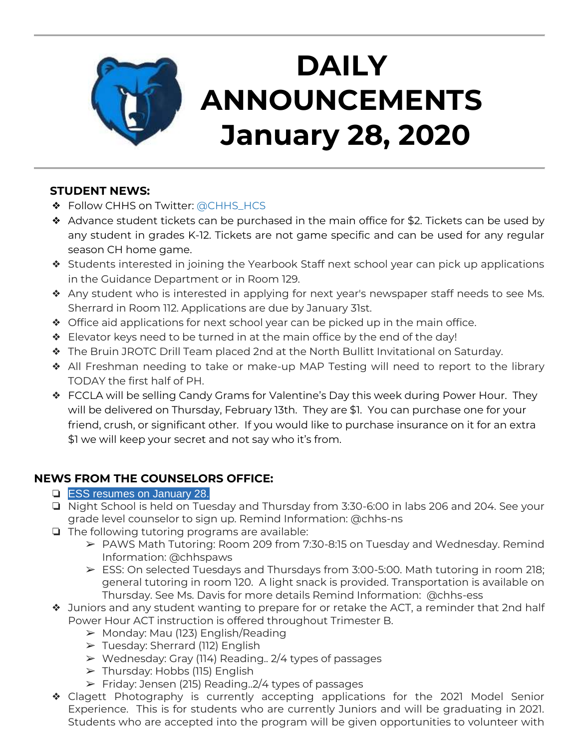

# **DAILY ANNOUNCEMENTS January 28, 2020**

## **STUDENT NEWS:**

- ❖ Follow CHHS on Twitter: [@CHHS\\_HCS](https://twitter.com/CHHS_HCS)
- ❖ Advance student tickets can be purchased in the main office for \$2. Tickets can be used by any student in grades K-12. Tickets are not game specific and can be used for any regular season CH home game.
- ❖ Students interested in joining the Yearbook Staff next school year can pick up applications in the Guidance Department or in Room 129.
- ❖ Any student who is interested in applying for next year's newspaper staff needs to see Ms. Sherrard in Room 112. Applications are due by January 31st.
- ❖ Office aid applications for next school year can be picked up in the main office.
- ❖ Elevator keys need to be turned in at the main office by the end of the day!
- ❖ The Bruin JROTC Drill Team placed 2nd at the North Bullitt Invitational on Saturday.
- ❖ All Freshman needing to take or make-up MAP Testing will need to report to the library TODAY the first half of PH.
- ❖ FCCLA will be selling Candy Grams for Valentine's Day this week during Power Hour. They will be delivered on Thursday, February 13th. They are \$1. You can purchase one for your friend, crush, or significant other. If you would like to purchase insurance on it for an extra \$1 we will keep your secret and not say who it's from.

## **NEWS FROM THE COUNSELORS OFFICE:**

- ❏ ESS resumes on January 28.
- ❏ Night School is held on Tuesday and Thursday from 3:30-6:00 in labs 206 and 204. See your grade level counselor to sign up. Remind Information: @chhs-ns
- ❏ The following tutoring programs are available:
	- ➢ PAWS Math Tutoring: Room 209 from 7:30-8:15 on Tuesday and Wednesday. Remind Information: @chhspaws
	- $\triangleright$  ESS: On selected Tuesdays and Thursdays from 3:00-5:00. Math tutoring in room 218; general tutoring in room 120. A light snack is provided. Transportation is available on Thursday. See Ms. Davis for more details Remind Information: @chhs-ess
- ❖ Juniors and any student wanting to prepare for or retake the ACT, a reminder that 2nd half Power Hour ACT instruction is offered throughout Trimester B.
	- $\triangleright$  Monday: Mau (123) English/Reading
	- ➢ Tuesday: Sherrard (112) English
	- $\triangleright$  Wednesday: Gray (114) Reading.. 2/4 types of passages
	- ➢ Thursday: Hobbs (115) English
	- ➢ Friday: Jensen (215) Reading..2/4 types of passages
- ❖ Clagett Photography is currently accepting applications for the 2021 Model Senior Experience. This is for students who are currently Juniors and will be graduating in 2021. Students who are accepted into the program will be given opportunities to volunteer with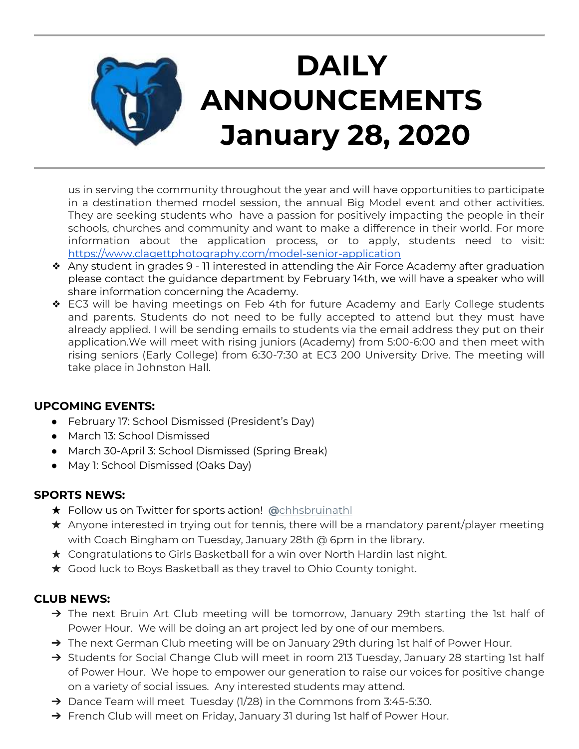

us in serving the community throughout the year and will have opportunities to participate in a destination themed model session, the annual Big Model event and other activities. They are seeking students who have a passion for positively impacting the people in their schools, churches and community and want to make a difference in their world. For more information about the application process, or to apply, students need to visit: <https://www.clagettphotography.com/model-senior-application>

- ❖ Any student in grades 9 11 interested in attending the Air Force Academy after graduation please contact the guidance department by February 14th, we will have a speaker who will share information concerning the Academy.
- ❖ EC3 will be having meetings on Feb 4th for future Academy and Early College students and parents. Students do not need to be fully accepted to attend but they must have already applied. I will be sending emails to students via the email address they put on their application.We will meet with rising juniors (Academy) from 5:00-6:00 and then meet with rising seniors (Early College) from 6:30-7:30 at EC3 200 University Drive. The meeting will take place in Johnston Hall.

#### **UPCOMING EVENTS:**

- February 17: School Dismissed (President's Day)
- March 13: School Dismissed
- March 30-April 3: School Dismissed (Spring Break)
- May 1: School Dismissed (Oaks Day)

### **SPORTS NEWS:**

- ★ Follow us on Twitter for sports action! **[@](https://twitter.com/chhsbruinathl)**[chhsbruinathl](https://twitter.com/chhsbruinathl)
- $\star$  Anyone interested in trying out for tennis, there will be a mandatory parent/player meeting with Coach Bingham on Tuesday, January 28th @ 6pm in the library.
- ★ Congratulations to Girls Basketball for a win over North Hardin last night.
- ★ Good luck to Boys Basketball as they travel to Ohio County tonight.

#### **CLUB NEWS:**

- → The next Bruin Art Club meeting will be tomorrow, January 29th starting the 1st half of Power Hour. We will be doing an art project led by one of our members.
- → The next German Club meeting will be on January 29th during 1st half of Power Hour.
- → Students for Social Change Club will meet in room 213 Tuesday, January 28 starting 1st half of Power Hour. We hope to empower our generation to raise our voices for positive change on a variety of social issues. Any interested students may attend.
- → Dance Team will meet Tuesday (1/28) in the Commons from 3:45-5:30.
- → French Club will meet on Friday, January 31 during 1st half of Power Hour.